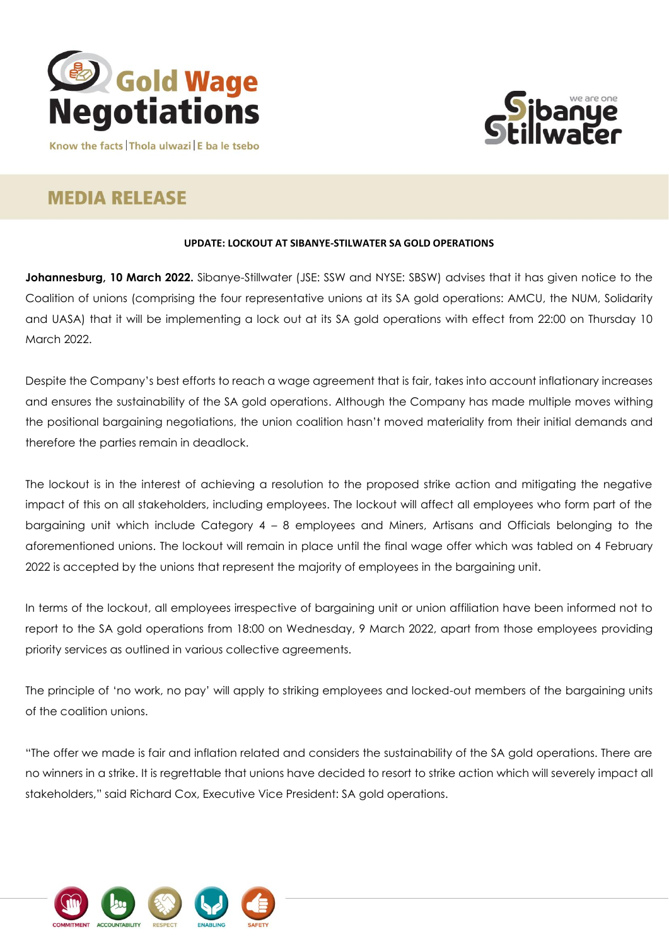



Know the facts Thola ulwazi E ba le tsebo

## **MEDIA RELEASE**

## **UPDATE: LOCKOUT AT SIBANYE-STILWATER SA GOLD OPERATIONS**

**Johannesburg, 10 March 2022.** Sibanye-Stillwater (JSE: SSW and NYSE: SBSW) advises that it has given notice to the Coalition of unions (comprising the four representative unions at its SA gold operations: AMCU, the NUM, Solidarity and UASA) that it will be implementing a lock out at its SA gold operations with effect from 22:00 on Thursday 10 March 2022.

Despite the Company's best efforts to reach a wage agreement that is fair, takes into account inflationary increases and ensures the sustainability of the SA gold operations. Although the Company has made multiple moves withing the positional bargaining negotiations, the union coalition hasn't moved materiality from their initial demands and therefore the parties remain in deadlock.

The lockout is in the interest of achieving a resolution to the proposed strike action and mitigating the negative impact of this on all stakeholders, including employees. The lockout will affect all employees who form part of the bargaining unit which include Category 4 – 8 employees and Miners, Artisans and Officials belonging to the aforementioned unions. The lockout will remain in place until the final wage offer which was tabled on 4 February 2022 is accepted by the unions that represent the majority of employees in the bargaining unit.

In terms of the lockout, all employees irrespective of bargaining unit or union affiliation have been informed not to report to the SA gold operations from 18:00 on Wednesday, 9 March 2022, apart from those employees providing priority services as outlined in various collective agreements.

The principle of 'no work, no pay' will apply to striking employees and locked-out members of the bargaining units of the coalition unions.

"The offer we made is fair and inflation related and considers the sustainability of the SA gold operations. There are no winners in a strike. It is regrettable that unions have decided to resort to strike action which will severely impact all stakeholders," said Richard Cox, Executive Vice President: SA gold operations.